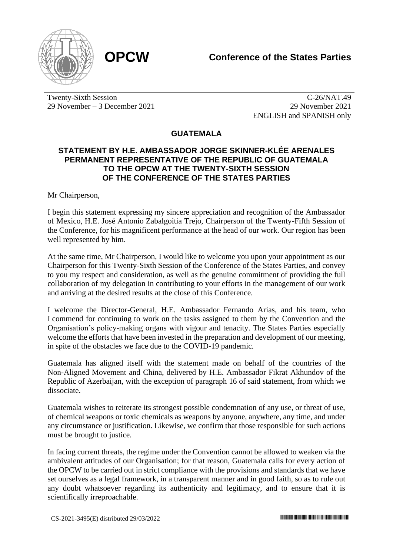

Twenty-Sixth Session 29 November – 3 December 2021

C-26/NAT.49 29 November 2021 ENGLISH and SPANISH only

**GUATEMALA**

## **STATEMENT BY H.E. AMBASSADOR JORGE SKINNER-KLÉE ARENALES PERMANENT REPRESENTATIVE OF THE REPUBLIC OF GUATEMALA TO THE OPCW AT THE TWENTY-SIXTH SESSION OF THE CONFERENCE OF THE STATES PARTIES**

Mr Chairperson,

I begin this statement expressing my sincere appreciation and recognition of the Ambassador of Mexico, H.E. José Antonio Zabalgoitia Trejo, Chairperson of the Twenty-Fifth Session of the Conference, for his magnificent performance at the head of our work. Our region has been well represented by him.

At the same time, Mr Chairperson, I would like to welcome you upon your appointment as our Chairperson for this Twenty-Sixth Session of the Conference of the States Parties, and convey to you my respect and consideration, as well as the genuine commitment of providing the full collaboration of my delegation in contributing to your efforts in the management of our work and arriving at the desired results at the close of this Conference.

I welcome the Director-General, H.E. Ambassador Fernando Arias, and his team, who I commend for continuing to work on the tasks assigned to them by the Convention and the Organisation's policy-making organs with vigour and tenacity. The States Parties especially welcome the efforts that have been invested in the preparation and development of our meeting, in spite of the obstacles we face due to the COVID-19 pandemic.

Guatemala has aligned itself with the statement made on behalf of the countries of the Non-Aligned Movement and China, delivered by H.E. Ambassador Fikrat Akhundov of the Republic of Azerbaijan, with the exception of paragraph 16 of said statement, from which we dissociate.

Guatemala wishes to reiterate its strongest possible condemnation of any use, or threat of use, of chemical weapons or toxic chemicals as weapons by anyone, anywhere, any time, and under any circumstance or justification. Likewise, we confirm that those responsible for such actions must be brought to justice.

In facing current threats, the regime under the Convention cannot be allowed to weaken via the ambivalent attitudes of our Organisation; for that reason, Guatemala calls for every action of the OPCW to be carried out in strict compliance with the provisions and standards that we have set ourselves as a legal framework, in a transparent manner and in good faith, so as to rule out any doubt whatsoever regarding its authenticity and legitimacy, and to ensure that it is scientifically irreproachable.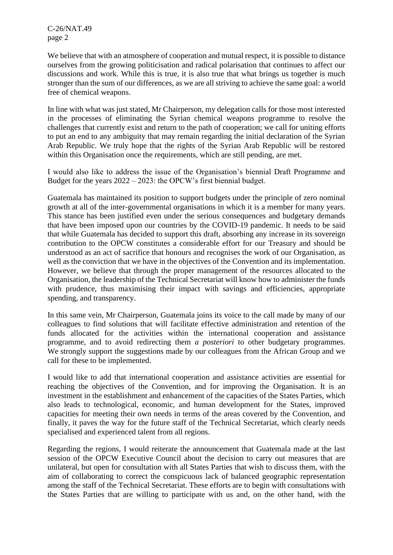C-26/NAT.49 page 2

We believe that with an atmosphere of cooperation and mutual respect, it is possible to distance ourselves from the growing politicisation and radical polarisation that continues to affect our discussions and work. While this is true, it is also true that what brings us together is much stronger than the sum of our differences, as we are all striving to achieve the same goal: a world free of chemical weapons.

In line with what was just stated, Mr Chairperson, my delegation calls for those most interested in the processes of eliminating the Syrian chemical weapons programme to resolve the challenges that currently exist and return to the path of cooperation; we call for uniting efforts to put an end to any ambiguity that may remain regarding the initial declaration of the Syrian Arab Republic. We truly hope that the rights of the Syrian Arab Republic will be restored within this Organisation once the requirements, which are still pending, are met.

I would also like to address the issue of the Organisation's biennial Draft Programme and Budget for the years 2022 – 2023: the OPCW's first biennial budget.

Guatemala has maintained its position to support budgets under the principle of zero nominal growth at all of the inter-governmental organisations in which it is a member for many years. This stance has been justified even under the serious consequences and budgetary demands that have been imposed upon our countries by the COVID-19 pandemic. It needs to be said that while Guatemala has decided to support this draft, absorbing any increase in its sovereign contribution to the OPCW constitutes a considerable effort for our Treasury and should be understood as an act of sacrifice that honours and recognises the work of our Organisation, as well as the conviction that we have in the objectives of the Convention and its implementation. However, we believe that through the proper management of the resources allocated to the Organisation, the leadership of the Technical Secretariat will know how to administer the funds with prudence, thus maximising their impact with savings and efficiencies, appropriate spending, and transparency.

In this same vein, Mr Chairperson, Guatemala joins its voice to the call made by many of our colleagues to find solutions that will facilitate effective administration and retention of the funds allocated for the activities within the international cooperation and assistance programme, and to avoid redirecting them *a posteriori* to other budgetary programmes. We strongly support the suggestions made by our colleagues from the African Group and we call for these to be implemented.

I would like to add that international cooperation and assistance activities are essential for reaching the objectives of the Convention, and for improving the Organisation. It is an investment in the establishment and enhancement of the capacities of the States Parties, which also leads to technological, economic, and human development for the States, improved capacities for meeting their own needs in terms of the areas covered by the Convention, and finally, it paves the way for the future staff of the Technical Secretariat, which clearly needs specialised and experienced talent from all regions.

Regarding the regions, I would reiterate the announcement that Guatemala made at the last session of the OPCW Executive Council about the decision to carry out measures that are unilateral, but open for consultation with all States Parties that wish to discuss them, with the aim of collaborating to correct the conspicuous lack of balanced geographic representation among the staff of the Technical Secretariat. These efforts are to begin with consultations with the States Parties that are willing to participate with us and, on the other hand, with the